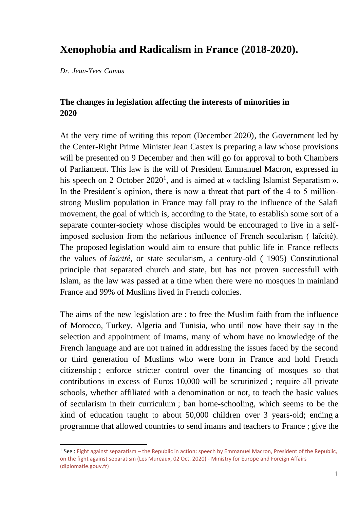# **Xenophobia and Radicalism in France (2018-2020).**

*Dr. Jean-Yves Camus* 

# **The changes in legislation affecting the interests of minorities in 2020**

At the very time of writing this report (December 2020), the Government led by the Center-Right Prime Minister Jean Castex is preparing a law whose provisions will be presented on 9 December and then will go for approval to both Chambers of Parliament. This law is the will of President Emmanuel Macron, expressed in his speech on 2 October 2020<sup>1</sup>, and is aimed at « tackling Islamist Separatism ». In the President's opinion, there is now a threat that part of the 4 to 5 millionstrong Muslim population in France may fall pray to the influence of the Salafi movement, the goal of which is, according to the State, to establish some sort of a separate counter-society whose disciples would be encouraged to live in a selfimposed seclusion from the nefarious influence of French secularism ( laïcité). The proposed legislation would aim to ensure that public life in France reflects the values of *laïcité*, or state secularism, a century-old ( 1905) Constitutional principle that separated church and state, but has not proven successfull with Islam, as the law was passed at a time when there were no mosques in mainland France and 99% of Muslims lived in French colonies.

The aims of the new legislation are : to free the Muslim faith from the influence of Morocco, Turkey, Algeria and Tunisia, who until now have their say in the selection and appointment of Imams, many of whom have no knowledge of the French language and are not trained in addressing the issues faced by the second or third generation of Muslims who were born in France and hold French citizenship ; enforce stricter control over the financing of mosques so that contributions in excess of Euros 10,000 will be scrutinized ; require all private schools, whether affiliated with a denomination or not, to teach the basic values of secularism in their curriculum ; ban home-schooling, which seems to be the kind of education taught to about 50,000 children over 3 years-old; ending a programme that allowed countries to send imams and teachers to France ; give the

<sup>&</sup>lt;sup>1</sup> See : Fight against separatism – the Republic in action: speech by Emmanuel Macron, President of the Republic, [on the fight against separatism \(Les Mureaux, 02 Oct. 2020\) -](https://www.diplomatie.gouv.fr/en/coming-to-france/france-facts/secularism-and-religious-freedom-in-france-63815/article/fight-against-separatism-the-republic-in-action-speech-by-emmanuel-macron) Ministry for Europe and Foreign Affairs [\(diplomatie.gouv.fr\)](https://www.diplomatie.gouv.fr/en/coming-to-france/france-facts/secularism-and-religious-freedom-in-france-63815/article/fight-against-separatism-the-republic-in-action-speech-by-emmanuel-macron)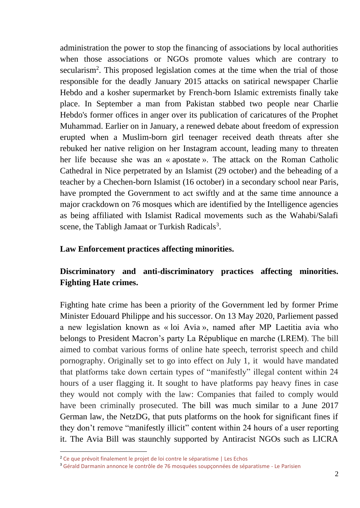administration the power to stop the financing of associations by local authorities when those associations or NGOs promote values which are contrary to secularism<sup>2</sup>. This proposed legislation comes at the time when the trial of those responsible for the deadly January 2015 attacks on satirical newspaper Charlie Hebdo and a kosher supermarket by French-born Islamic extremists finally take place. In September a man from Pakistan stabbed two people near Charlie Hebdo's former offices in anger over its publication of caricatures of the Prophet Muhammad. Earlier on in January, a renewed debate about freedom of expression erupted when a Muslim-born girl teenager received death threats after she rebuked her native religion on her Instagram account, leading many to threaten her life because she was an « apostate ». The attack on the Roman Catholic Cathedral in Nice perpetrated by an Islamist (29 october) and the beheading of a teacher by a Chechen-born Islamist (16 october) in a secondary school near Paris, have prompted the Government to act swiftly and at the same time announce a major crackdown on 76 mosques which are identified by the Intelligence agencies as being affiliated with Islamist Radical movements such as the Wahabi/Salafi scene, the Tabligh Jamaat or Turkish Radicals<sup>3</sup>.

## **Law Enforcement practices affecting minorities.**

# **Discriminatory and anti-discriminatory practices affecting minorities. Fighting Hate crimes.**

Fighting hate crime has been a priority of the Government led by former Prime Minister Edouard Philippe and his successor. On 13 May 2020, Parliement passed a new legislation known as « loi Avia », named after MP Laetitia avia who belongs to President Macron's party La République en marche (LREM). The bill aimed to combat various forms of online hate speech, terrorist speech and child pornography. Originally set to go into effect on July 1, it would have mandated that platforms take down certain types of "manifestly" illegal content within 24 hours of a user flagging it. It sought to have platforms pay heavy fines in case they would not comply with the law: Companies that failed to comply would have been criminally prosecuted. The bill was much similar to a June 2017 German law, the NetzDG, that puts platforms on the hook for significant fines if they don't remove ["manifestly illicit"](https://cdt.org/insights/overview-of-the-netzdg-network-enforcement-law/) content within 24 hours of a user reporting it. The Avia Bill was staunchly supported by Antiracist NGOs such as LICRA

<sup>&</sup>lt;sup>2</sup> [Ce que prévoit finalement le projet de loi contre le séparatisme | Les Echos](https://www.lesechos.fr/politique-societe/gouvernement/ce-que-prevoit-finalement-le-projet-de-loi-contre-le-separatisme-1265964)

<sup>3</sup> [Gérald Darmanin annonce le contrôle de 76 mosquées soupçonnées de séparatisme](https://www.leparisien.fr/faits-divers/gerald-darmanin-annonce-le-controle-de-76-mosquees-soupconnees-de-separatisme-02-12-2020-8411942.php) - Le Parisien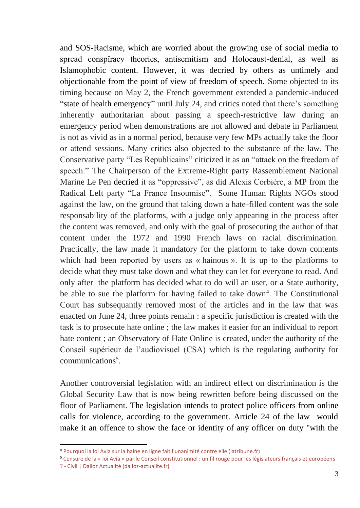and SOS-Racisme, which are worried about the growing use of social media to spread conspîracy theories, antisemitism and Holocaust-denial, as well as Islamophobic content. However, it was decried by others as untimely and objectionable from the point of view of freedom of speech. Some objected to its timing because on May 2, the French government extended a pandemic-induced ["state of health emergency"](https://www.france24.com/en/20200502-france-extends-covid-19-health-emergency-until-july-24) until July 24, and critics noted that there's something inherently authoritarian about passing a speech-restrictive law during an emergency period when demonstrations are not allowed and debate in Parliament is not as vivid as in a normal period, because very few MPs actually take the floor or attend sessions. Many critics also objected to the substance of the law. The Conservative party "Les Republicains" citicized it as an "attack on the freedom of speech." The Chairperson of the Extreme-Right party Rassemblement National Marine Le Pen [decried](https://twitter.com/MLP_officiel/status/1260466742129823745) it as "oppressive", as did Alexis Corbière, a MP from the Radical Left party "La France Insoumise". Some Human Rights NGOs stood against the law, on the ground that taking down a hate-filled content was the sole responsability of the platforms, with a judge only appearing in the process after the content was removed, and only with the goal of prosecuting the author of that content under the 1972 and 1990 French laws on racial discrimination. Practically, the law made it mandatory for the platform to take down contents which had been reported by users as « hainous ». It is up to the platforms to decide what they must take down and what they can let for everyone to read. And only after the platform has decided what to do will an user, or a State authority, be able to sue the platform for having failed to take down<sup>4</sup>. The Constitutional Court has subsequantly removed most of the articles and in the law that was enacted on June 24, three points remain : a specific jurisdiction is created with the task is to prosecute hate online ; the law makes it easier for an individual to report hate content ; an Observatory of Hate Online is created, under the authority of the Conseil supérieur de l'audiovisuel (CSA) which is the regulating authority for communications<sup>5</sup>.

Another controversial legislation with an indirect effect on discrimination is the Global Security Law that is now being rewritten before being discussed on the floor of Parliament. The legislation intends to protect police officers from online calls for violence, according to the government. Article 24 of the law would make it an offence to show the face or identity of any officer on duty "with the

<sup>4</sup> [Pourquoi la loi Avia sur la haine en ligne fait l'unanimité contre elle \(latribune.fr\)](https://www.latribune.fr/technos-medias/internet/pourquoi-la-loi-avia-sur-la-haine-en-ligne-fait-l-unanimite-contre-elle-822462.html)

<sup>5</sup> [Censure de la « loi Avia » par le Conseil constitutionnel : un fil rouge pour les législateurs français et européen](https://www.dalloz-actualite.fr/flash/censure-de-loi-avia-par-conseil-constitutionnel-un-fil-rouge-pour-legislateurs-francais-et-eur#.Xvt3Higza70)s ? - [Civil | Dalloz Actualité \(dalloz](https://www.dalloz-actualite.fr/flash/censure-de-loi-avia-par-conseil-constitutionnel-un-fil-rouge-pour-legislateurs-francais-et-eur#.Xvt3Higza70)-actualite.fr)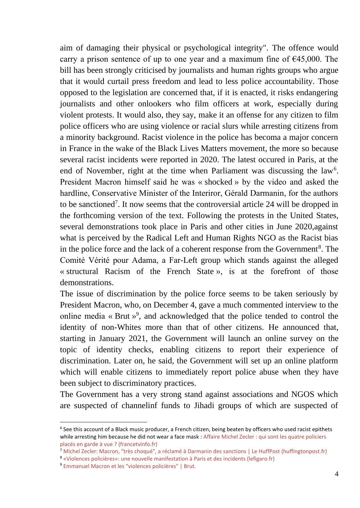aim of damaging their physical or psychological integrity". The offence would carry a prison sentence of up to one year and a maximum fine of  $\epsilon$ 45,000. The bill has been strongly criticised by journalists and human rights groups who argue that it would curtail press freedom and lead to less police accountability. Those opposed to the legislation are concerned that, if it is enacted, it risks endangering journalists and other onlookers who film officers at work, especially during violent protests. It would also, they say, make it an offense for any citizen to film police officers who are using violence or racial slurs while arresting citizens from a minority background. Racist violence in the police has becoma a major concern in France in the wake of the Black Lives Matters movement, the more so because several racist incidents were reported in 2020. The latest occured in Paris, at the end of November, right at the time when Parliament was discussing the  $law<sup>6</sup>$ . President Macron himself said he was « shocked » by the video and asked the hardline, Conservative Minister of the Interiror, Gérald Darmanin, for the authors to be sanctioned<sup>7</sup>. It now seems that the controversial article 24 will be dropped in the forthcoming version of the text. Following the protests in the United States, several demonstrations took place in Paris and other cities in June 2020,against what is perceived by the Radical Left and Human Rights NGO as the Racist bias in the police force and the lack of a coherent response from the Government<sup>8</sup>. The Comité Vérité pour Adama, a Far-Left group which stands against the alleged « structural Racism of the French State », is at the forefront of those demonstrations.

The issue of discrimination by the police force seems to be taken seriously by President Macron, who, on December 4, gave a much commented interview to the online media « Brut  $v^9$ , and acknowledged that the police tended to control the identity of non-Whites more than that of other citizens. He announced that, starting in January 2021, the Government will launch an online survey on the topic of identity checks, enabling citizens to report their experience of discrimination. Later on, he said, the Government will set up an online platform which will enable citizens to immediately report police abuse when they have been subject to discriminatory practices.

The Government has a very strong stand against associations and NGOS which are suspected of channelinf funds to Jihadi groups of which are suspected of

<sup>&</sup>lt;sup>6</sup> See this account of a Black music producer, a French citizen, being beaten by officers who used racist epithets while arresting him because he did not wear a face mask [: Affaire Michel Zecler : qui sont les quatre policiers](https://www.francetvinfo.fr/faits-divers/police/violences-policieres/affaire-michel-zecler-qui-sont-les-quatre-policiers-places-en-garde-a-vue_4199527.html)  [placés en garde à vue ? \(francetvinfo.fr\)](https://www.francetvinfo.fr/faits-divers/police/violences-policieres/affaire-michel-zecler-qui-sont-les-quatre-policiers-places-en-garde-a-vue_4199527.html)

<sup>7</sup> [Michel Zecler: Macron, "très choqué", a réclamé à Darmanin des sanctions | Le HuffPost \(huffingtonpost.fr\)](https://www.huffingtonpost.fr/entry/michel-zecler-macron-tres-choque-a-reclame-a-darmanin-des-sanctions_fr_5fc0dd27c5b68ca87f838210)

<sup>8</sup> [«Violences policières»: une nouvelle manifestation à Paris et des incidents \(lefigaro.fr\)](https://www.lefigaro.fr/actualite-france/violences-policieres-une-nouvelle-manifestation-a-paris-et-des-incidents-20200613)

<sup>9</sup> [Emmanuel Macron et les "violences policières" | Brut.](https://www.brut.media/fr/news/emmanuel-macron-et-les-violences-policieres--24172b20-9dc8-42e6-9f05-f52acb63cf71)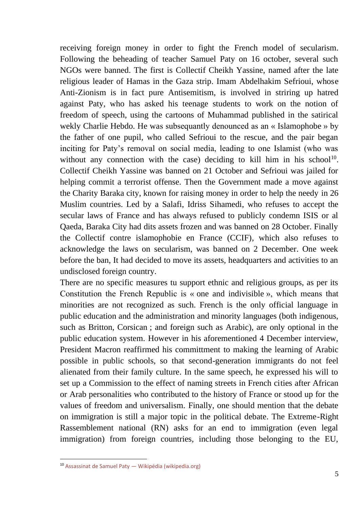receiving foreign money in order to fight the French model of secularism. Following the beheading of teacher Samuel Paty on 16 october, several such NGOs were banned. The first is Collectif Cheikh Yassine, named after the late religious leader of Hamas in the Gaza strip. Imam Abdelhakim Sefrioui, whose Anti-Zionism is in fact pure Antisemitism, is involved in striring up hatred against Paty, who has asked his teenage students to work on the notion of freedom of speech, using the cartoons of Muhammad published in the satirical wekly Charlie Hebdo. He was subsequantly denounced as an « Islamophobe » by the father of one pupil, who called Sefrioui to the rescue, and the pair began inciting for Paty's removal on social media, leading to one Islamist (who was without any connection with the case) deciding to kill him in his school<sup>10</sup>. Collectif Cheikh Yassine was banned on 21 October and Sefrioui was jailed for helping commit a terrorist offense. Then the Government made a move against the Charity Baraka city, known for raising money in order to help the needy in 26 Muslim countries. Led by a Salafi, Idriss Sihamedi, who refuses to accept the secular laws of France and has always refused to publicly condemn ISIS or al Qaeda, Baraka City had dits assets frozen and was banned on 28 October. Finally the Collectif contre islamophobie en France (CCIF), which also refuses to acknowledge the laws on secularism, was banned on 2 December. One week before the ban, It had decided to move its assets, headquarters and activities to an undisclosed foreign country.

There are no specific measures tu support ethnic and religious groups, as per its Constitution the French Republic is « one and indivisible », which means that minorities are not recognized as such. French is the only official language in public education and the administration and minority languages (both indigenous, such as Britton, Corsican ; and foreign such as Arabic), are only optional in the public education system. However in his aforementioned 4 December interview, President Macron reaffirmed his committment to making the learning of Arabic possible in public schools, so that second-generation immigrants do not feel alienated from their family culture. In the same speech, he expressed his will to set up a Commission to the effect of naming streets in French cities after African or Arab personalities who contributed to the history of France or stood up for the values of freedom and universalism. Finally, one should mention that the debate on immigration is still a major topic in the political debate. The Extreme-Right Rassemblement national (RN) asks for an end to immigration (even legal immigration) from foreign countries, including those belonging to the EU,

<sup>10</sup> [Assassinat de Samuel Paty](https://fr.wikipedia.org/wiki/Assassinat_de_Samuel_Paty) — Wikipédia (wikipedia.org)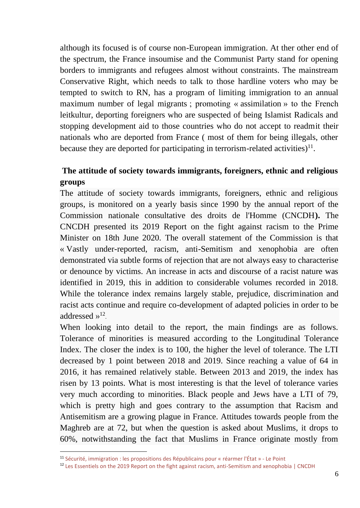although its focused is of course non-European immigration. At ther other end of the spectrum, the France insoumise and the Communist Party stand for opening borders to immigrants and refugees almost without constraints. The mainstream Conservative Right, which needs to talk to those hardline voters who may be tempted to switch to RN, has a program of limiting immigration to an annual maximum number of legal migrants ; promoting « assimilation » to the French leitkultur, deporting foreigners who are suspected of being Islamist Radicals and stopping development aid to those countries who do not accept to readmit their nationals who are deported from France ( most of them for being illegals, other because they are deported for participating in terrorism-related activities) $^{11}$ .

# **The attitude of society towards immigrants, foreigners, ethnic and religious groups**

The attitude of society towards immigrants, foreigners, ethnic and religious groups, is monitored on a yearly basis since 1990 by the annual report of the Commission nationale consultative des droits de l'Homme (CNCDH**).** The CNCDH presented its 2019 Report on the fight against racism to the Prime Minister on 18th June 2020. The overall statement of the Commission is that « Vastly under-reported, racism, anti-Semitism and xenophobia are often demonstrated via subtle forms of rejection that are not always easy to characterise or denounce by victims. An increase in acts and discourse of a racist nature was identified in 2019, this in addition to considerable volumes recorded in 2018. While the tolerance index remains largely stable, prejudice, discrimination and racist acts continue and require co-development of adapted policies in order to be addressed  $v^{12}$ .

When looking into detail to the report, the main findings are as follows. Tolerance of minorities is measured according to the Longitudinal Tolerance Index. The closer the index is to 100, the higher the level of tolerance. The LTI decreased by 1 point between 2018 and 2019. Since reaching a value of 64 in 2016, it has remained relatively stable. Between 2013 and 2019, the index has risen by 13 points. What is most interesting is that the level of tolerance varies very much according to minorities. Black people and Jews have a LTI of 79, which is pretty high and goes contrary to the assumption that Racism and Antisemitism are a growing plague in France. Attitudes towards people from the Maghreb are at 72, but when the question is asked about Muslims, it drops to 60%, notwithstanding the fact that Muslims in France originate mostly from

<sup>11</sup> Sécurité, immigration [: les propositions des Républicains pour «](https://www.lepoint.fr/politique/securite-immigration-les-propositions-des-republicains-pour-rearmer-l-etat-17-11-2020-2401620_20.php) réarmer l'État » - Le Point

<sup>&</sup>lt;sup>12</sup> [Les Essentiels on the 2019 Report on the fight against racism, anti-Semitism and xenophobia | CNCDH](https://www.cncdh.fr/fr/publications/les-essentiels-2019-report-fight-against-racism-anti-semitism-and-xenophobia)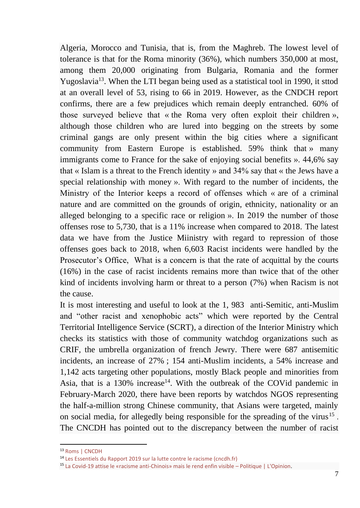Algeria, Morocco and Tunisia, that is, from the Maghreb. The lowest level of tolerance is that for the Roma minority (36%), which numbers 350,000 at most, among them 20,000 originating from Bulgaria, Romania and the former Yugoslavia<sup>13</sup>. When the LTI began being used as a statistical tool in 1990, it sttod at an overall level of 53, rising to 66 in 2019. However, as the CNDCH report confirms, there are a few prejudices which remain deeply entranched. 60% of those surveyed believe that « the Roma very often exploit their children », although those children who are lured into begging on the streets by some criminal gangs are only present within the big cities where a significant community from Eastern Europe is established. 59% think that » many immigrants come to France for the sake of enjoying social benefits ». 44,6% say that « Islam is a threat to the French identity » and 34% say that « the Jews have a special relationship with money ». With regard to the number of incidents, the Ministry of the Interior keeps a record of offenses which « are of a criminal nature and are committed on the grounds of origin, ethnicity, nationality or an alleged belonging to a specific race or religion ». In 2019 the number of those offenses rose to 5,730, that is a 11% increase when compared to 2018. The latest data we have from the Justice Miinistry with regard to repression of those offenses goes back to 2018, when 6,603 Racist incidents were handled by the Prosecutor's Office, What is a concern is that the rate of acquittal by the courts (16%) in the case of racist incidents remains more than twice that of the other kind of incidents involving harm or threat to a person (7%) when Racism is not the cause.

It is most interesting and useful to look at the 1, 983 anti-Semitic, anti-Muslim and "other racist and xenophobic acts" which were reported by the Central Territorial Intelligence Service (SCRT), a direction of the Interior Ministry which checks its statistics with those of community watchdog organizations such as CRIF, the umbrella organization of french Jewry. There were 687 antisemitic incidents, an increase of 27% ; 154 anti-Muslim incidents, a 54% increase and 1,142 acts targeting other populations, mostly Black people and minorities from Asia, that is a 130% increase<sup>14</sup>. With the outbreak of the COVid pandemic in February-March 2020, there have been reports by watchdos NGOS representing the half-a-million strong Chinese community, that Asians were targeted, mainly on social media, for allegedly being responsible for the spreading of the virus<sup>15</sup>. The CNCDH has pointed out to the discrepancy between the number of racist

<sup>13</sup> [Roms | CNCDH](https://www.cncdh.fr/fr/dossiers-thematiques/roms)

<sup>14</sup> [Les Essentiels du Rapport 2019 sur la lutte contre le racisme \(cncdh.fr\)](https://www.cncdh.fr/sites/default/files/essentiels_rapport_racisme_2019_format_a4_anglais.pdf)

<sup>15</sup> La Covid-19 attise le «racisme anti-[Chinois» mais le rend enfin visible –](https://www.lopinion.fr/edition/politique/covid-19-attise-racisme-anti-chinois-rend-enfin-visible-229307) Politique | L'Opinion.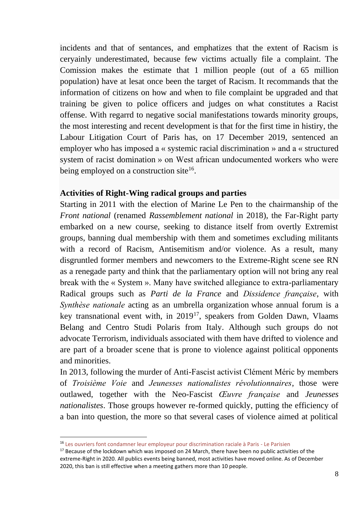incidents and that of sentances, and emphatizes that the extent of Racism is ceryainly underestimated, because few victims actually file a complaint. The Comission makes the estimate that 1 million people (out of a 65 million population) have at lesat once been the target of Racism. It recommands that the information of citizens on how and when to file complaint be upgraded and that training be given to police officers and judges on what constitutes a Racist offense. With regarrd to negative social manifestations towards minority groups, the most interesting and recent development is that for the first time in histiry, the Labour Litigation Court of Paris has, on 17 December 2019, sentenced an employer who has imposed a « systemic racial discrimination » and a « structured system of racist domination » on West african undocumented workers who were being employed on a construction site<sup>16</sup>.

## **Activities of Right-Wing radical groups and parties**

Starting in 2011 with the election of Marine Le Pen to the chairmanship of the *Front national* (renamed *Rassemblement national* in 2018), the Far-Right party embarked on a new course, seeking to distance itself from overtly Extremist groups, banning dual membership with them and sometimes excluding militants with a record of Racism, Antisemitism and/or violence. As a result, many disgruntled former members and newcomers to the Extreme-Right scene see RN as a renegade party and think that the parliamentary option will not bring any real break with the « System ». Many have switched allegiance to extra-parliamentary Radical groups such as *Parti de la France* and *Dissidence française*, with *Synthèse nationale* acting as an umbrella organization whose annual forum is a key transnational event with, in 2019<sup>17</sup>, speakers from Golden Dawn, Vlaams Belang and Centro Studi Polaris from Italy. Although such groups do not advocate Terrorism, individuals associated with them have drifted to violence and are part of a broader scene that is prone to violence against political opponents and minorities.

In 2013, following the murder of Anti-Fascist activist Clément Méric by members of *Troisième Voie* and *Jeunesses nationalistes révolutionnaires*, those were outlawed, together with the Neo-Fascist *Œuvre française* and *Jeunesses nationalistes*. Those groups however re-formed quickly, putting the efficiency of a ban into question, the more so that several cases of violence aimed at political

<sup>16</sup> [Les ouvriers font condamner leur employeur pour discrimination raciale à Paris](https://www.leparisien.fr/paris-75/paris-les-ouvriers-font-condamner-leur-employeur-pour-discrimination-raciale-18-12-2019-8220234.php) - Le Parisien

 $17$  Because of the lockdown which was imposed on 24 March, there have been no public activities of the extreme-Right in 2020. All publics events being banned, most activities have moved online. As of December 2020, this ban is still effective when a meeting gathers more than 10 people.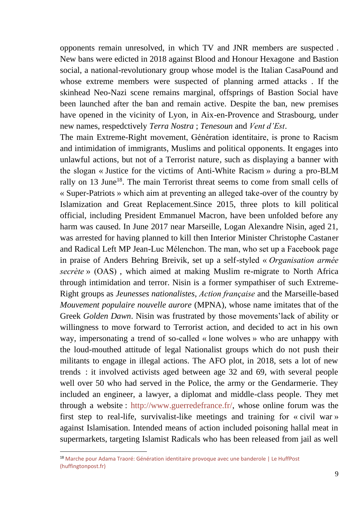opponents remain unresolved, in which TV and JNR members are suspected . New bans were edicted in 2018 against Blood and Honour Hexagone and Bastion social, a national-revolutionary group whose model is the Italian CasaPound and whose extreme members were suspected of planning armed attacks . If the skinhead Neo-Nazi scene remains marginal, offsprings of Bastion Social have been launched after the ban and remain active. Despite the ban, new premises have opened in the vicinity of Lyon, in Aix-en-Provence and Strasbourg, under new names, respedctively *Terra Nostra* ; *Tenesoun* and *Vent d'Est*.

The main Extreme-Right movement, Génération identitaire, is prone to Racism and intimidation of immigrants, Muslims and political opponents. It engages into unlawful actions, but not of a Terrorist nature, such as displaying a banner with the slogan « Justice for the victims of Anti-White Racism » during a pro-BLM rally on 13 June<sup>18</sup>. The main Terrorist threat seems to come from small cells of « Super-Patriots » which aim at preventing an alleged take-over of the country by Islamization and Great Replacement.Since 2015, three plots to kill political official, including President Emmanuel Macron, have been unfolded before any harm was caused. In June 2017 near Marseille, Logan Alexandre Nisin, aged 21, was arrested for having planned to kill then Interior Minister Christophe Castaner and Radical Left MP Jean-Luc Mélenchon. The man, who set up a Facebook page in praise of Anders Behring Breivik, set up a self-styled « *Organisation armée secrète* » (OAS) , which aimed at making Muslim re-migrate to North Africa through intimidation and terror. Nisin is a former sympathiser of such Extreme-Right groups as *Jeunesses nationalistes*, *Action française* and the Marseille-based *Mouvement populaire nouvelle aurore* (MPNA), whose name imitates that of the Greek *Golden Dawn*. Nisin was frustrated by those movements'lack of ability or willingness to move forward to Terrorist action, and decided to act in his own way, impersonating a trend of so-called « lone wolves » who are unhappy with the loud-mouthed attitude of legal Nationalist groups which do not push their militants to engage in illegal actions. The AFO plot, in 2018, sets a lot of new trends : it involved activists aged between age 32 and 69, with several people well over 50 who had served in the Police, the army or the Gendarmerie. They included an engineer, a lawyer, a diplomat and middle-class people. They met through a website : [http://www.guerredefrance.fr/,](http://www.guerredefrance.fr/) whose online forum was the first step to real-life, survivalist-like meetings and training for « civil war » against Islamisation. Intended means of action included poisoning hallal meat in supermarkets, targeting Islamist Radicals who has been released from jail as well

<sup>&</sup>lt;sup>18</sup> Marche pour Adama Traoré: Génération identitaire provoque avec une banderole | Le HuffPost [\(huffingtonpost.fr\)](https://www.huffingtonpost.fr/entry/marche-pour-adama-traore-generation-identitaire-provoque-avec-une-banderole_fr_5ee4c8dac5b696952d232a26)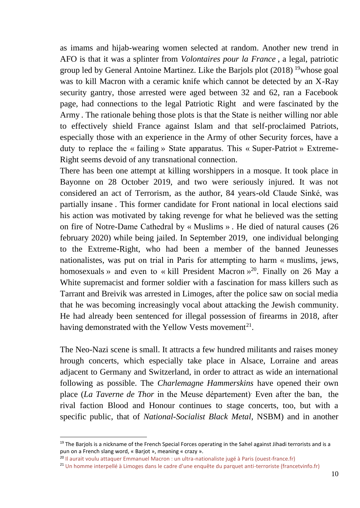as imams and hijab-wearing women selected at random. Another new trend in AFO is that it was a splinter from *Volontaires pour la France* , a legal, patriotic group led by General Antoine Martinez. Like the Barjols plot (2018) <sup>19</sup>whose goal was to kill Macron with a ceramic knife which cannot be detected by an X-Ray security gantry, those arrested were aged between 32 and 62, ran a Facebook page, had connections to the legal Patriotic Right and were fascinated by the Army . The rationale behing those plots is that the State is neither willing nor able to effectively shield France against Islam and that self-proclaimed Patriots, especially those with an experience in the Army of other Security forces, have a duty to replace the « failing » State apparatus. This « Super-Patriot » Extreme-Right seems devoid of any transnational connection.

There has been one attempt at killing worshippers in a mosque. It took place in Bayonne on 28 October 2019, and two were seriously injured. It was not considered an act of Terrorism, as the author, 84 years-old Claude Sinké, was partially insane . This former candidate for Front national in local elections said his action was motivated by taking revenge for what he believed was the setting on fire of Notre-Dame Cathedral by « Muslims » . He died of natural causes (26 february 2020) while being jailed. In September 2019, one individual belonging to the Extreme-Right, who had been a member of the banned Jeunesses nationalistes, was put on trial in Paris for attempting to harm « muslims, jews, homosexuals » and even to « kill President Macron  $v^{20}$ . Finally on 26 May a White supremacist and former soldier with a fascination for mass killers such as Tarrant and Breivik was arrested in Limoges, after the police saw on social media that he was becoming increasingly vocal about attacking the Jewish community. He had already been sentenced for illegal possession of firearms in 2018, after having demonstrated with the Yellow Vests movement<sup>21</sup>.

The Neo-Nazi scene is small. It attracts a few hundred militants and raises money hrough concerts, which especially take place in Alsace, Lorraine and areas adjacent to Germany and Switzerland, in order to attract as wide an international following as possible. The *Charlemagne Hammerskins* have opened their own place (*La Taverne de Thor* in the Meuse département). Even after the ban, the rival faction Blood and Honour continues to stage concerts, too, but with a specific public, that of *National-Socialist Black Metal*, NSBM) and in another

 $19$  The Barjols is a nickname of the French Special Forces operating in the Sahel against Jihadi terrorists and is a pun on a French slang word, « Barjot », meaning « crazy ».

<sup>20</sup> Il aurait [voulu attaquer Emmanuel Macron : un ultra-](https://www.ouest-france.fr/faits-divers/attentat/il-aurait-voulu-attaquer-emmanuel-macron-un-ultra-nationaliste-juge-paris-6541784)nationaliste jugé à Paris (ouest-france.fr)

<sup>&</sup>lt;sup>21</sup> [Un homme interpellé à Limoges dans le cadre d'une enquête du parquet anti](https://france3-regions.francetvinfo.fr/nouvelle-aquitaine/haute-vienne/limoges/homme-interpelle-limoges-cadre-enquete-du-parquet-anti-terroriste-1833708.html)-terroriste (francetvinfo.fr)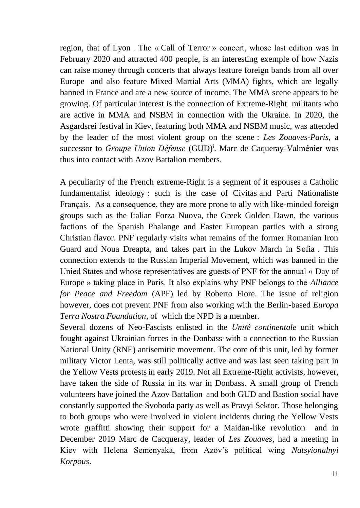region, that of Lyon . The « Call of Terror » concert, whose last edition was in February 2020 and attracted 400 people, is an interesting exemple of how Nazis can raise money through concerts that always feature foreign bands from all over Europe and also feature Mixed Martial Arts (MMA) fights, which are legally banned in France and are a new source of income. The MMA scene appears to be growing. Of particular interest is the connection of Extreme-Right militants who are active in MMA and NSBM in connection with the Ukraine. In 2020, the Asgardsrei festival in Kiev, featuring both MMA and NSBM music, was attended by the leader of the most violent group on the scene : *Les Zouaves-Paris*, a successor to *Groupe Union Défense* (GUD)<sup>i</sup>. Marc de Caqueray-Valménier was thus into contact with Azov Battalion members.

A peculiarity of the French extreme-Right is a segment of it espouses a Catholic fundamentalist ideology : such is the case of Civitas and Parti Nationaliste Français. As a consequence, they are more prone to ally with like-minded foreign groups such as the Italian Forza Nuova, the Greek Golden Dawn, the various factions of the Spanish Phalange and Easter European parties with a strong Christian flavor. PNF regularly visits what remains of the former Romanian Iron Guard and Noua Dreapta, and takes part in the Lukov March in Sofia . This connection extends to the Russian Imperial Movement, which was banned in the Unied States and whose representatives are guests of PNF for the annual « Day of Europe » taking place in Paris. It also explains why PNF belongs to the *Alliance for Peace and Freedom* (APF) led by Roberto Fiore. The issue of religion however, does not prevent PNF from also working with the Berlin-based *Europa Terra Nostra Foundation,* of which the NPD is a member.

Several dozens of Neo-Fascists enlisted in the *Unité continentale* unit which fought against Ukrainian forces in the Donbass with a connection to the Russian National Unity (RNE) antisemitic movement. The core of this unit, led by former military Victor Lenta, was still politically active and was last seen taking part in the Yellow Vests protests in early 2019. Not all Extreme-Right activists, however, have taken the side of Russia in its war in Donbass. A small group of French volunteers have joined the Azov Battalion and both GUD and Bastion social have constantly supported the Svoboda party as well as Pravyi Sektor. Those belonging to both groups who were involved in violent incidents during the Yellow Vests wrote graffitti showing their support for a Maidan-like revolution and in December 2019 Marc de Cacqueray, leader of *Les Zouaves*, had a meeting in Kiev with Helena Semenyaka, from Azov's political wing *Natsyionalnyi Korpous*.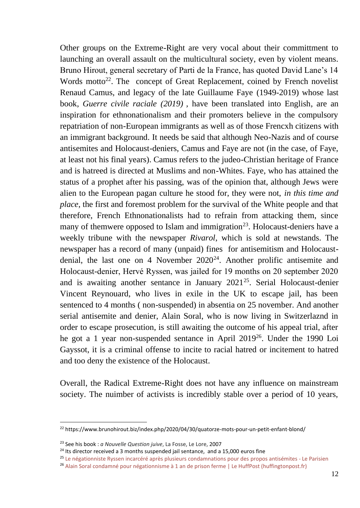Other groups on the Extreme-Right are very vocal about their committment to launching an overall assault on the multicultural society, even by violent means. Bruno Hirout, general secretary of Parti de la France, has quoted David Lane's 14 Words motto<sup>22</sup>. The concept of Great Replacement, coined by French novelist Renaud Camus, and legacy of the late Guillaume Faye (1949-2019) whose last book, *Guerre civile raciale (2019) ,* have been translated into English, are an inspiration for ethnonationalism and their promoters believe in the compulsory repatriation of non-European immigrants as well as of those Frencxh citizens with an immigrant background. It needs be said that although Neo-Nazis and of course antisemites and Holocaust-deniers, Camus and Faye are not (in the case, of Faye, at least not his final years). Camus refers to the judeo-Christian heritage of France and is hatreed is directed at Muslims and non-Whites. Faye, who has attained the status of a prophet after his passing, was of the opinion that, although Jews were alien to the European pagan culture he stood for, they were not, *in this time and place*, the first and foremost problem for the survival of the White people and that therefore, French Ethnonationalists had to refrain from attacking them, since many of themwere opposed to Islam and immigration<sup>23</sup>. Holocaust-deniers have a weekly tribune with the newspaper *Rivarol*, which is sold at newstands. The newspaper has a record of many (unpaid) fines for antisemitism and Holocaustdenial, the last one on 4 November  $2020^{24}$ . Another prolific antisemite and Holocaust-denier, Hervé Ryssen, was jailed for 19 months on 20 september 2020 and is awaiting another sentance in January 2021<sup>25</sup>. Serial Holocaust-denier Vincent Reynouard, who lives in exile in the UK to escape jail, has been sentenced to 4 months ( non-suspended) in absentia on 25 november. And another serial antisemite and denier, Alain Soral, who is now living in Switzerlaznd in order to escape prosecution, is still awaiting the outcome of his appeal trial, after he got a 1 year non-suspended sentance in April 2019<sup>26</sup>. Under the 1990 Loi Gayssot, it is a criminal offense to incite to racial hatred or incitement to hatred and too deny the existence of the Holocaust.

Overall, the Radical Extreme-Right does not have any influence on mainstream society. The nuimber of activists is incredibly stable over a period of 10 years,

<sup>&</sup>lt;sup>22</sup> https://www.brunohirout.biz/index.php/2020/04/30/quatorze-mots-pour-un-petit-enfant-blond/

<sup>23</sup> See his book : *a Nouvelle Question juive*, La Fosse, Le Lore, 2007

 $24$  Its director received a 3 months suspended jail sentance, and a 15,000 euros fine

<sup>25</sup> [Le négationniste Ryssen incarcéré après plusieurs condamnations pour des propos antisémites](https://www.leparisien.fr/faits-divers/le-negationniste-ryssen-incarcere-apres-plusieurs-condamnations-pour-des-propos-antisemites-20-09-2020-8388189.php) - Le Parisien

<sup>&</sup>lt;sup>26</sup> [Alain Soral condamné pour négationnisme à 1 an de prison ferme | Le HuffPost \(huffingtonpost.fr\)](https://www.huffingtonpost.fr/entry/alain-soral-condamne-pour-negationnisme-a-1-an-de-prison-ferme_fr_5cb472ffe4b0ffefe3b39e01)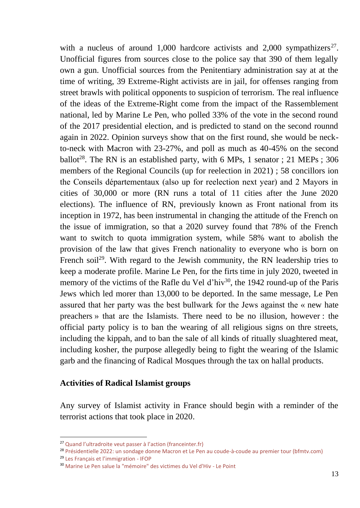with a nucleus of around 1,000 hardcore activists and 2,000 sympathizers<sup>27</sup>. Unofficial figures from sources close to the police say that 390 of them legally own a gun. Unofficial sources from the Penitentiary administration say at at the time of writing, 39 Extreme-Right activists are in jail, for offenses ranging from street brawls with political opponents to suspicion of terrorism. The real influence of the ideas of the Extreme-Right come from the impact of the Rassemblement national, led by Marine Le Pen, who polled 33% of the vote in the second round of the 2017 presidential election, and is predicted to stand on the second rounnd again in 2022. Opinion surveys show that on the first round, she would be neckto-neck with Macron with 23-27%, and poll as much as 40-45% on the second ballot<sup>28</sup>. The RN is an established party, with 6 MPs, 1 senator ; 21 MEPs ; 306 members of the Regional Councils (up for reelection in 2021) ; 58 concillors ion the Conseils départementaux (also up for reelection next year) and 2 Mayors in cities of 30,000 or more (RN runs a total of 11 cities after the June 2020 elections). The influence of RN, previously known as Front national from its inception in 1972, has been instrumental in changing the attitude of the French on the issue of immigration, so that a 2020 survey found that 78% of the French want to switch to quota immigration system, while 58% want to abolish the provision of the law that gives French nationality to everyone who is born on French soil<sup>29</sup>. With regard to the Jewish community, the RN leadership tries to keep a moderate profile. Marine Le Pen, for the firts time in july 2020, tweeted in memory of the victims of the Rafle du Vel d'hiv<sup>30</sup>, the 1942 round-up of the Paris Jews which led morer than 13,000 to be deported. In the same message, Le Pen assured that her party was the best bullwark for the Jews against the « new hate preachers » that are the Islamists. There need to be no illusion, however : the official party policy is to ban the wearing of all religious signs on thre streets, including the kippah, and to ban the sale of all kinds of ritually sluaghtered meat, including kosher, the purpose allegedly being to fight the wearing of the Islamic garb and the financing of Radical Mosques through the tax on hallal products.

#### **Activities of Radical Islamist groups**

Any survey of Islamist activity in France should begin with a reminder of the terrorist actions that took place in 2020.

<sup>27</sup> [Quand l'ultradroite veut passer à l'action \(franceinter.fr\)](https://www.franceinter.fr/emissions/secrets-d-info/secrets-d-info-24-novembre-2018)

<sup>&</sup>lt;sup>28</sup> [Présidentielle 2022: un sondage donne Macron et Le Pen au coude](https://www.bfmtv.com/politique/presidentielle-2022-un-sondage-donne-macron-et-le-pen-au-coude-a-coude-au-premier-tour_AD-202010040044.html)-à-coude au premier tour (bfmtv.com)

<sup>29</sup> [Les Français et l'immigration](https://www.ifop.com/publication/les-francais-et-limmigration-6/) - IFOP

<sup>30</sup> [Marine Le Pen salue la "mémoire" des victimes du Vel d'Hiv](https://www.lepoint.fr/politique/marine-le-pen-salue-la-memoire-des-victimes-du-vel-d-hiv-16-07-2020-2384573_20.php) - Le Point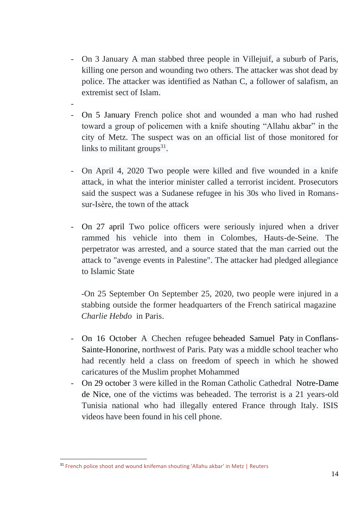- On 3 January A man stabbed three people in Villejuif, a suburb of Paris, killing one person and wounding two others. The attacker was shot dead by police. The attacker was identified as Nathan C, a follower of salafism, an extremist sect of Islam.
- On 5 January French police shot and wounded a man who had rushed toward a group of policemen with a knife shouting "Allahu akbar" in the city of Metz. The suspect was on an official list of those monitored for links to militant groups $31$ .

-

- On April 4, 2020 Two people were killed and five wounded in a knife attack, in what the interior minister called a terrorist incident. Prosecutors said the suspect was a Sudanese refugee in his 30s who lived in Romanssur-Isère, the town of the attack
- On 27 april Two police officers were seriously injured when a driver rammed his vehicle into them in Colombes, Hauts-de-Seine. The perpetrator was arrested, and a source stated that the man carried out the attack to "avenge events in Palestine". The attacker had pledged allegiance to Islamic State

-On 25 September On September 25, 2020, two people were injured in a stabbing outside the former headquarters of the French satirical magazine *Charlie Hebdo* in Paris.

- On 16 October A Chechen refugee [beheaded Samuel Paty](https://en.wikipedia.org/wiki/Murder_of_Samuel_Paty) in [Conflans-](https://en.wikipedia.org/wiki/Conflans-Sainte-Honorine)[Sainte-Honorine,](https://en.wikipedia.org/wiki/Conflans-Sainte-Honorine) northwest of Paris. Paty was a middle school teacher who had recently held a class on freedom of speech in which he showed caricatures of the Muslim prophet Mohammed
- On 29 october 3 were killed in the Roman Catholic Cathedral [Notre-Dame](https://en.wikipedia.org/wiki/Notre-Dame_de_Nice)  [de Nice,](https://en.wikipedia.org/wiki/Notre-Dame_de_Nice) one of the victims was beheaded. The terrorist is a 21 years-old Tunisia national who had illegally entered France through Italy. ISIS videos have been found in his cell phone.

<sup>&</sup>lt;sup>31</sup> [French police shoot and wound knifeman shouting 'Allahu akbar' in Metz | Reuters](https://www.reuters.com/article/us-france-security/french-police-shoot-and-wound-knifeman-shouting-allahu-akbar-in-metz-idUSKBN1Z40ON)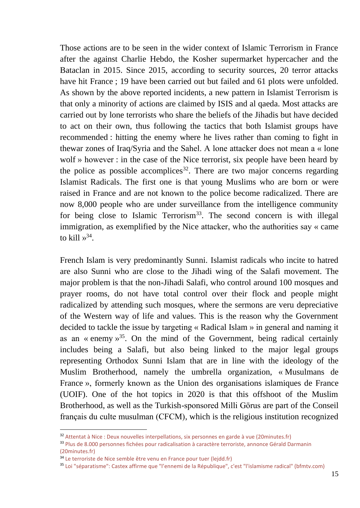Those actions are to be seen in the wider context of Islamic Terrorism in France after the against Charlie Hebdo, the Kosher supermarket hypercacher and the Bataclan in 2015. Since 2015, according to security sources, 20 terror attacks have hit France ; 19 have been carried out but failed and 61 plots were unfolded. As shown by the above reported incidents, a new pattern in Islamist Terrorism is that only a minority of actions are claimed by ISIS and al qaeda. Most attacks are carried out by lone terrorists who share the beliefs of the Jihadis but have decided to act on their own, thus following the tactics that both Islamist groups have recommended : hitting the enemy where he lives rather than coming to fight in thewar zones of Iraq/Syria and the Sahel. A lone attacker does not mean a « lone wolf » however : in the case of the Nice terrorist, six people have been heard by the police as possible accomplices<sup>32</sup>. There are two major concerns regarding Islamist Radicals. The first one is that young Muslims who are born or were raised in France and are not known to the police become radicalized. There are now 8,000 people who are under surveillance from the intelligence community for being close to Islamic Terrorism<sup>33</sup>. The second concern is with illegal immigration, as exemplified by the Nice attacker, who the authorities say « came to kill  $v^{34}$ .

French Islam is very predominantly Sunni. Islamist radicals who incite to hatred are also Sunni who are close to the Jihadi wing of the Salafi movement. The major problem is that the non-Jihadi Salafi, who control around 100 mosques and prayer rooms, do not have total control over their flock and people might radicalized by attending such mosques, where the sermons are veru depreciative of the Western way of life and values. This is the reason why the Government decided to tackle the issue by targeting « Radical Islam » in general and naming it as an « enemy  $v^{35}$ . On the mind of the Government, being radical certainly includes being a Salafi, but also being linked to the major legal groups representing Orthodox Sunni Islam that are in line with the ideology of the Muslim Brotherhood, namely the umbrella organization, « Musulmans de France », formerly known as the Union des organisations islamiques de France (UOIF). One of the hot topics in 2020 is that this offshoot of the Muslim Brotherhood, as well as the Turkish-sponsored Milli Görus are part of the Conseil français du culte musulman (CFCM), which is the religious institution recognized

<sup>&</sup>lt;sup>32</sup> Attentat à Nice [: Deux nouvelles interpellations, six personnes en garde à vue \(20minutes.fr\)](https://www.20minutes.fr/societe/2898267-20201101-attentat-nice-deux-nouvelles-interpellations-six-personnes-garde-vue)

<sup>33</sup> [Plus de 8.000 personnes fichées pour radicalisation à caractère terroriste, annonce Gérald Darmanin](https://www.20minutes.fr/societe/2850699-20200831-interieur-plus-8000-personnes-fichees-radicalisation-caractere-terroriste-annonce-gerald-darmanin)  [\(20minutes.fr\)](https://www.20minutes.fr/societe/2850699-20200831-interieur-plus-8000-personnes-fichees-radicalisation-caractere-terroriste-annonce-gerald-darmanin)

<sup>&</sup>lt;sup>34</sup> [Le terroriste de Nice semble être venu en France pour tuer \(lejdd.fr\)](https://www.lejdd.fr/Societe/le-terroriste-de-nice-semble-etre-venu-en-france-pour-tuer-4002537)

<sup>35</sup> [Loi "séparatisme": Castex affirme que "l'ennemi de la République", c'est "l'islamisme radical" \(bfmtv.com\)](https://www.bfmtv.com/politique/loi-separatisme-castex-affirme-que-l-ennemi-de-la-republique-c-est-l-islamisme-radical_AD-202012090037.html)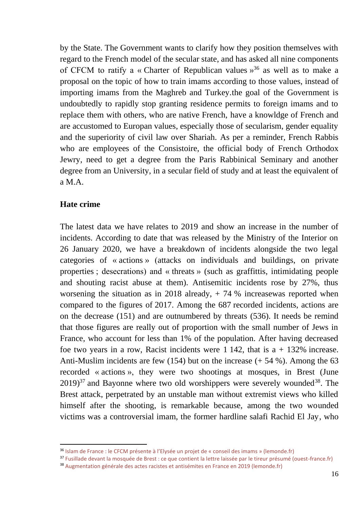by the State. The Government wants to clarify how they position themselves with regard to the French model of the secular state, and has asked all nine components of CFCM to ratify a « Charter of Republican values  $y^{36}$  as well as to make a proposal on the topic of how to train imams according to those values, instead of importing imams from the Maghreb and Turkey.the goal of the Government is undoubtedly to rapidly stop granting residence permits to foreign imams and to replace them with others, who are native French, have a knowldge of French and are accustomed to Europan values, especially those of secularism, gender equality and the superiority of civil law over Shariah. As per a reminder, French Rabbis who are employees of the Consistoire, the official body of French Orthodox Jewry, need to get a degree from the Paris Rabbinical Seminary and another degree from an University, in a secular field of study and at least the equivalent of a M.A.

#### **Hate crime**

The latest data we have relates to 2019 and show an increase in the number of incidents. According to date that was released by the Ministry of the Interior on 26 January 2020, we have a breakdown of incidents alongside the two legal categories of « actions » (attacks on individuals and buildings, on private properties ; desecrations) and « threats » (such as graffittis, intimidating people and shouting racist abuse at them). Antisemitic incidents rose by 27%, thus worsening the situation as in 2018 already, + 74 % increasewas reported when compared to the figures of 2017. Among the 687 recorded incidents, actions are on the decrease (151) and are outnumbered by threats (536). It needs be remind that those figures are really out of proportion with the small number of Jews in France, who account for less than 1% of the population. After having decreased foe two years in a row, Racist incidents were  $1\,142$ , that is  $a + 132\%$  increase. Anti-Muslim incidents are few (154) but on the increase (+ 54 %). Among the 63 recorded « actions », they were two shootings at mosques, in Brest (June  $2019$ <sup>37</sup> and Bayonne where two old worshippers were severely wounded<sup>38</sup>. The Brest attack, perpetrated by an unstable man without extremist views who killed himself after the shooting, is remarkable because, among the two wounded victims was a controversial imam, the former hardline salafi Rachid El Jay, who

<sup>36</sup> Islam de France : le CFCM présente à [l'Elysée un projet de «](https://www.lemonde.fr/societe/article/2020/11/19/islam-de-france-le-cfcm-presente-a-l-elysee-un-projet-de-conseil-des-imams_6060279_3224.html) conseil des imams » (lemonde.fr)

<sup>&</sup>lt;sup>37</sup> [Fusillade devant la mosquée de Brest : ce que contient la lettre laissée par le tireur présumé \(ouest](https://www.ouest-france.fr/bretagne/brest-29200/mosquee-de-brest-le-geste-d-un-desequilibre-6421069)-france.fr)

<sup>38</sup> [Augmentation générale des actes racistes et antisémites en France en 2019 \(lemonde.fr\)](https://www.lemonde.fr/societe/article/2020/01/27/en-2019-hausse-des-actes-racistes-et-antisemites-en-france_6027341_3224.html)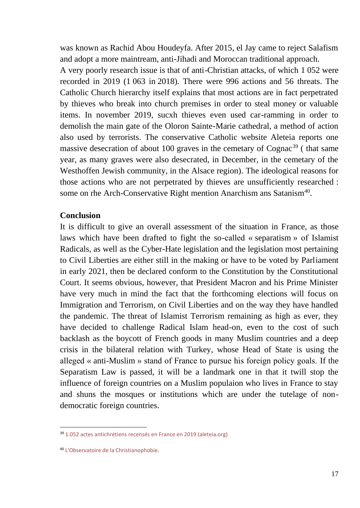was known as Rachid Abou Houdeyfa. After 2015, el Jay came to reject Salafism and adopt a more maintream, anti-Jihadi and Moroccan traditional approach.

A very poorly research issue is that of anti-Christian attacks, of which 1 052 were recorded in 2019 (1 063 in 2018). There were 996 actions and 56 threats. The Catholic Church hierarchy itself explains that most actions are in fact perpetrated by thieves who break into church premises in order to steal money or valuable items. In november 2019, sucxh thieves even used car-ramming in order to demolish the main gate of the Oloron Sainte-Marie cathedral, a method of action also used by terrorists. The conservative Catholic website Aleteia reports one massive desecration of about 100 graves in the cemetary of  $Cogna<sup>39</sup>$  (that same year, as many graves were also desecrated, in December, in the cemetary of the Westhoffen Jewish community, in the Alsace region). The ideological reasons for those actions who are not perpetrated by thieves are unsufficiently researched : some on rhe Arch-Conservative Right mention Anarchism ans Satanism<sup>40</sup>.

#### **Conclusion**

It is difficult to give an overall assessment of the situation in France, as those laws which have been drafted to fight the so-called « separatism » of Islamist Radicals, as well as the Cyber-Hate legislation and the legislation most pertaining to Civil Liberties are either still in the making or have to be voted by Parliament in early 2021, then be declared conform to the Constitution by the Constitutional Court. It seems obvious, however, that President Macron and his Prime Minister have very much in mind the fact that the forthcoming elections will focus on Immigration and Terrorism, on Civil Liberties and on the way they have handled the pandemic. The threat of Islamist Terrorism remaining as high as ever, they have decided to challenge Radical Islam head-on, even to the cost of such backlash as the boycott of French goods in many Muslim countries and a deep crisis in the bilateral relation with Turkey, whose Head of State is using the alleged « anti-Muslim » stand of France to pursue his foreign policy goals. If the Separatism Law is passed, it will be a landmark one in that it twill stop the influence of foreign countries on a Muslim populaion who lives in France to stay and shuns the mosques or institutions which are under the tutelage of nondemocratic foreign countries.

<sup>39</sup> [1.052 actes antichrétiens recensés en France en 2019 \(aleteia.org\)](https://fr.aleteia.org/2020/01/27/1-052-actes-antichretiens-recenses-en-2019/)

<sup>40</sup> [L'Observatoire de la Christianophobie.](https://www.christianophobie.fr/)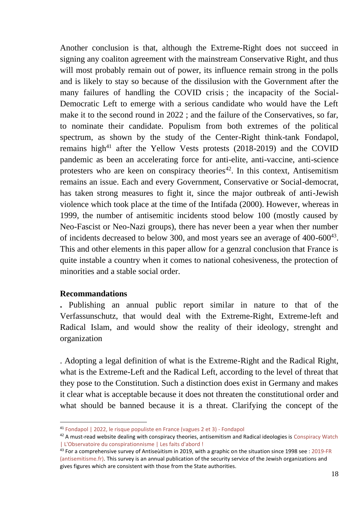Another conclusion is that, although the Extreme-Right does not succeed in signing any coaliton agreement with the mainstream Conservative Right, and thus will most probably remain out of power, its influence remain strong in the polls and is likely to stay so because of the dissilusion with the Government after the many failures of handling the COVID crisis ; the incapacity of the Social-Democratic Left to emerge with a serious candidate who would have the Left make it to the second round in 2022 ; and the failure of the Conservatives, so far, to nominate their candidate. Populism from both extremes of the political spectrum, as shown by the study of the Center-Right think-tank Fondapol, remains high<sup>41</sup> after the Yellow Vests protests  $(2018-2019)$  and the COVID pandemic as been an accelerating force for anti-elite, anti-vaccine, anti-science protesters who are keen on conspiracy theories<sup>42</sup>. In this context, Antisemitism remains an issue. Each and every Government, Conservative or Social-democrat, has taken strong measures to fight it, since the major outbreak of anti-Jewish violence which took place at the time of the Intifada (2000). However, whereas in 1999, the number of antisemitic incidents stood below 100 (mostly caused by Neo-Fascist or Neo-Nazi groups), there has never been a year when ther number of incidents decreased to below 300, and most years see an average of  $400-600^{43}$ . This and other elements in this paper allow for a genzral conclusion that France is quite instable a country when it comes to national cohesiveness, the protection of minorities and a stable social order.

## **Recommandations**

**.** Publishing an annual public report similar in nature to that of the Verfassunschutz, that would deal with the Extreme-Right, Extreme-left and Radical Islam, and would show the reality of their ideology, strenght and organization

. Adopting a legal definition of what is the Extreme-Right and the Radical Right, what is the Extreme-Left and the Radical Left, according to the level of threat that they pose to the Constitution. Such a distinction does exist in Germany and makes it clear what is acceptable because it does not threaten the constitutional order and what should be banned because it is a threat. Clarifying the concept of the

<sup>41</sup> [Fondapol | 2022, le risque populiste en France \(vagues 2 et 3\) -](http://www.fondapol.org/etude/2022-le-risque-populiste-vagues-2-et-3/) Fondapol

 $42$  A must-read website dealing with conspiracy theories, antisemitism and Radical ideologies is Conspiracy Watch [| L'Observatoire du conspirationnisme | Les faits d'abord !](https://www.conspiracywatch.info/?gclid=EAIaIQobChMI18asqMPD7QIVmdrVCh3GPgJhEAAYASAAEgL0TvD_BwE)

<sup>&</sup>lt;sup>43</sup> For a comprehensive survey of Antiseùitism in 2019, with a graphic on the situation since 1998 see : 2019-FR [\(antisemitisme.fr\).](https://www.antisemitisme.fr/dl/2019-FR) This survey is an annual publication of the security service of the Jewish organizations and gives figures which are consistent with those from the State authorities.